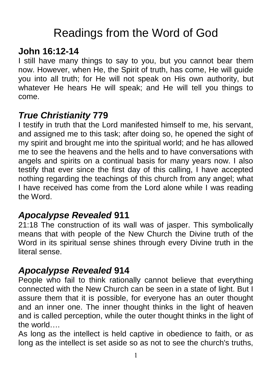# Readings from the Word of God

## **John 16:12-14**

I still have many things to say to you, but you cannot bear them now. However, when He, the Spirit of truth, has come, He will guide you into all truth; for He will not speak on His own authority, but whatever He hears He will speak; and He will tell you things to come.

## *True Christianity* **779**

I testify in truth that the Lord manifested himself to me, his servant, and assigned me to this task; after doing so, he opened the sight of my spirit and brought me into the spiritual world; and he has allowed me to see the heavens and the hells and to have conversations with angels and spirits on a continual basis for many years now. I also testify that ever since the first day of this calling, I have accepted nothing regarding the teachings of this church from any angel; what I have received has come from the Lord alone while I was reading the Word.

### *Apocalypse Revealed* **911**

21:18 The construction of its wall was of jasper. This symbolically means that with people of the New Church the Divine truth of the Word in its spiritual sense shines through every Divine truth in the literal sense.

### *Apocalypse Revealed* **914**

People who fail to think rationally cannot believe that everything connected with the New Church can be seen in a state of light. But I assure them that it is possible, for everyone has an outer thought and an inner one. The inner thought thinks in the light of heaven and is called perception, while the outer thought thinks in the light of the world….

As long as the intellect is held captive in obedience to faith, or as long as the intellect is set aside so as not to see the church's truths,